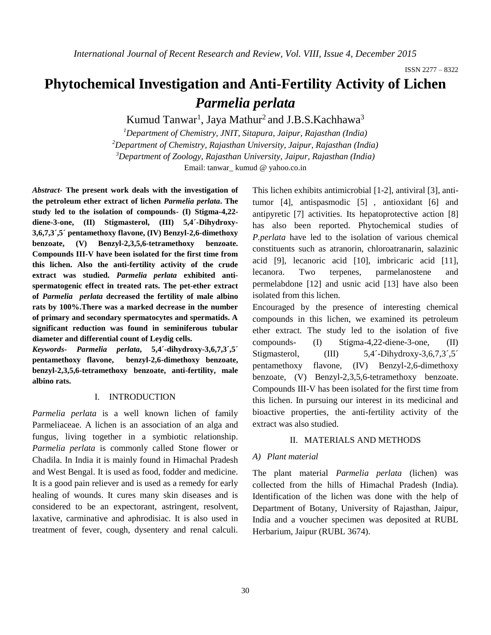ISSN 2277 – 8322

# **Phytochemical Investigation and Anti-Fertility Activity of Lichen**  *Parmelia perlata*

Kumud Tanwar<sup>1</sup>, Jaya Mathur<sup>2</sup> and J.B.S.Kachhawa<sup>3</sup>

*Department of Chemistry, JNIT, Sitapura, Jaipur, Rajasthan (India) Department of Chemistry, Rajasthan University, Jaipur, Rajasthan (India) Department of Zoology, Rajasthan University, Jaipur, Rajasthan (India)* Email: tanwar\_ kumud @ yahoo.co.in

*Abstract-* **The present work deals with the investigation of the petroleum ether extract of lichen** *Parmelia perlata***. The study led to the isolation of compounds- (I) Stigma-4,22 diene-3-one, (II) Stigmasterol, (III) 5,4´-Dihydroxy-3,6,7,3´,5´ pentamethoxy flavone, (IV) Benzyl-2,6-dimethoxy benzoate, (V) Benzyl-2,3,5,6-tetramethoxy benzoate. Compounds III-V have been isolated for the first time from this lichen. Also the anti-fertility activity of the crude extract was studied.** *Parmelia perlata* **exhibited antispermatogenic effect in treated rats. The pet-ether extract of** *Parmelia perlata* **decreased the fertility of male albino rats by 100%.There was a marked decrease in the number of primary and secondary spermatocytes and spermatids. A significant reduction was found in seminiferous tubular diameter and differential count of Leydig cells.**

*Keywords***-** *Parmelia perlata***, 5,4´-dihydroxy-3,6,7,3´,5´ pentamethoxy flavone, benzyl-2,6-dimethoxy benzoate, benzyl-2,3,5,6-tetramethoxy benzoate, anti-fertility, male albino rats.**

# I. INTRODUCTION

*Parmelia perlata* is a well known lichen of family Parmeliaceae. A lichen is an association of an alga and fungus, living together in a symbiotic relationship. *Parmelia perlata* is commonly called Stone flower or Chadila. In India it is mainly found in Himachal Pradesh and West Bengal. It is used as food, fodder and medicine. It is a good pain reliever and is used as a remedy for early healing of wounds. It cures many skin diseases and is considered to be an expectorant, astringent, resolvent, laxative, carminative and aphrodisiac. It is also used in treatment of fever, cough, dysentery and renal calculi.

This lichen exhibits antimicrobial [1-2], antiviral [3], antitumor [4], antispasmodic [5] , antioxidant [6] and antipyretic [7] activities. Its hepatoprotective action [8] has also been reported. Phytochemical studies of *P.perlata* have led to the isolation of various chemical constituents such as atranorin, chloroatranarin, salazinic acid [9], lecanoric acid [10], imbricaric acid [11], lecanora. Two terpenes, parmelanostene and permelabdone [12] and usnic acid [13] have also been isolated from this lichen.

Encouraged by the presence of interesting chemical compounds in this lichen, we examined its petroleum ether extract. The study led to the isolation of five compounds- (I) Stigma-4,22-diene-3-one, (II) Stigmasterol, (III) 5,4´-Dihydroxy-3,6,7,3´,5´ pentamethoxy flavone, (IV) Benzyl-2,6-dimethoxy benzoate, (V) Benzyl-2,3,5,6-tetramethoxy benzoate. Compounds III-V has been isolated for the first time from this lichen. In pursuing our interest in its medicinal and bioactive properties, the anti-fertility activity of the extract was also studied.

#### II. MATERIALS AND METHODS

#### *A) Plant material*

The plant material *Parmelia perlata* (lichen) was collected from the hills of Himachal Pradesh (India). Identification of the lichen was done with the help of Department of Botany, University of Rajasthan, Jaipur, India and a voucher specimen was deposited at RUBL Herbarium, Jaipur (RUBL 3674).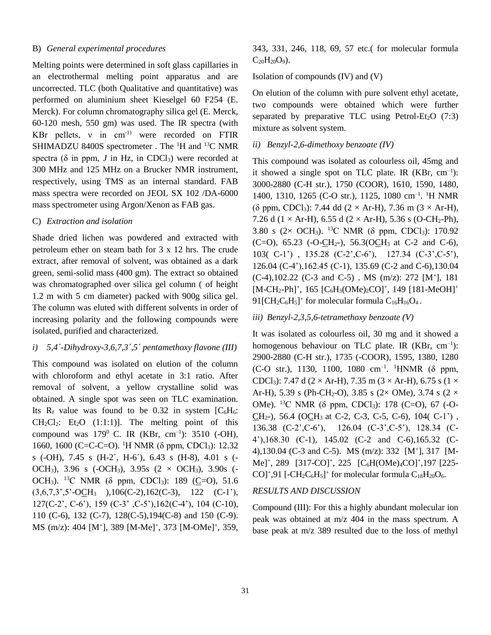# B) *General experimental procedures*

Melting points were determined in soft glass capillaries in an electrothermal melting point apparatus and are uncorrected. TLC (both Qualitative and quantitative) was performed on aluminium sheet Kieselgel 60 F254 (E. Merck). For column chromatography silica gel (E. Merck, 60-120 mesh, 550 gm) was used. The IR spectra (with KBr pellets,  $v$  in cm<sup>-1)</sup> were recorded on FTIR SHIMADZU 8400S spectrometer . The <sup>1</sup>H and <sup>13</sup>C NMR spectra ( $\delta$  in ppm, *J* in Hz, in CDCl<sub>3</sub>) were recorded at 300 MHz and 125 MHz on a Brucker NMR instrument, respectively, using TMS as an internal standard. FAB mass spectra were recorded on JEOL SX 102 /DA-6000 mass spectrometer using Argon/Xenon as FAB gas.

# C) *Extraction and isolation*

Shade dried lichen was powdered and extracted with petroleum ether on steam bath for 3 x 12 hrs. The crude extract, after removal of solvent, was obtained as a dark green, semi-solid mass (400 gm). The extract so obtained was chromatographed over silica gel column ( of height 1.2 m with 5 cm diameter) packed with 900g silica gel. The column was eluted with different solvents in order of increasing polarity and the following compounds were isolated, purified and characterized.

#### *i) 5,4´-Dihydroxy-3,6,7,3´,5´ pentamethoxy flavone (III)*

This compound was isolated on elution of the column with chloroform and ethyl acetate in 3:1 ratio. After removal of solvent, a yellow crystalline solid was obtained. A single spot was seen on TLC examination. Its  $R_f$  value was found to be 0.32 in system  $[C_6H_6]$ :  $CH_2Cl_2$ :  $Et_2O$  (1:1:1)]. The melting point of this compound was  $179^{\circ}$  C. IR (KBr, cm<sup>-1</sup>): 3510 (-OH), 1660, 1600 (C=C-C=O). <sup>1</sup>H NMR (δ ppm, CDCl<sub>3</sub>): 12.32 s (-OH), 7.45 s (H-2´, H-6´), 6.43 s (H-8), 4.01 s (- OCH<sub>3</sub>), 3.96 s (-OCH<sub>3</sub>), 3.95s (2  $\times$  OCH<sub>3</sub>), 3.90s (-OCH<sub>3</sub>). <sup>13</sup>C NMR ( $\delta$  ppm, CDCl<sub>3</sub>): 189 (C=O), 51.6  $(3,6,7,3^{\degree},5^{\degree}-OCH_3)$ ,  $106(C-2),162(C-3), 122 (C-1^{\degree})$ , 127(C-2', C-6'), 159 (C-3' ,C-5'),162(C-4'), 104 (C-10), 110 (C-6), 132 (C-7), 128(C-5),194(C-8) and 150 (C-9). MS (m/z): 404 [M<sup>+</sup>], 389 [M-Me]<sup>+</sup>, 373 [M-OMe]<sup>+</sup>, 359, 343, 331, 246, 118, 69, 57 etc.( for molecular formula  $C_{20}H_{20}O_9$ ).

#### Isolation of compounds (IV) and (V)

On elution of the column with pure solvent ethyl acetate, two compounds were obtained which were further separated by preparative TLC using Petrol-Et<sub>2</sub>O  $(7:3)$ mixture as solvent system.

#### *ii) Benzyl-2,6-dimethoxy benzoate (IV)*

This compound was isolated as colourless oil, 45mg and it showed a single spot on TLC plate. IR  $(KBr, cm^{-1})$ : 3000-2880 (C-H str.), 1750 (COOR), 1610, 1590, 1480, 1400, 1310, 1265 (C-O str.), 1125, 1080 cm<sup>-1</sup>. <sup>1</sup>H NMR (δ ppm, CDCl<sub>3</sub>): 7.44 dd (2 × Ar-H), 7.36 m (3 × Ar-H), 7.26 d (1  $\times$  Ar-H), 6.55 d (2  $\times$  Ar-H), 5.36 s (O-CH<sub>2</sub>-Ph), 3.80 s (2 $\times$  OCH<sub>3</sub>). <sup>13</sup>C NMR ( $\delta$  ppm, CDCl<sub>3</sub>): 170.92 (C=O),  $65.23$  (-O-CH<sub>2</sub>-),  $56.3$ (OCH<sub>3</sub> at C-2 and C-6), 103( C-1') , 135.28 (C-2',C-6'), 127.34 (C-3',C-5'), 126.04 (C-4'),162.45 (C-1), 135.69 (C-2 and C-6),130.04  $(C-4)$ ,102.22  $(C-3$  and  $C-5)$ . MS  $(m/z)$ : 272  $[M^+]$ , 181  $[M-CH_2-Ph]^+$ , 165  $[C_6H_3(OMe)_2CO]^+$ , 149  $[181-MeOH]^+$ 91 [ $CH_2C_6H_5$ ]<sup>+</sup> for molecular formula  $C_{16}H_{16}O_4$ .

#### *iii) Benzyl-2,3,5,6-tetramethoxy benzoate (V)*

It was isolated as colourless oil, 30 mg and it showed a homogenous behaviour on TLC plate. IR  $(KBr, cm^{-1})$ : 2900-2880 (C-H str.), 1735 (-COOR), 1595, 1380, 1280 (C-O str.), 1130, 1100, 1080 cm–1 . <sup>1</sup>HNMR (δ ppm, CDCl<sub>3</sub>): 7.47 d (2 × Ar-H), 7.35 m (3 × Ar-H), 6.75 s (1 × Ar-H), 5.39 s (Ph-CH<sub>2</sub>-O), 3.85 s (2× OMe), 3.74 s (2 × OMe). <sup>13</sup>C NMR (δ ppm, CDCl<sub>3</sub>): 178 (C=O), 67 (-O-CH<sub>2</sub>-), 56.4 (OCH<sub>3</sub> at C-2, C-3, C-5, C-6), 104( C-1'), 136.38 (C-2',C-6'), 126.04 (C-3',C-5'), 128.34 (C-4'),168.30 (C-1), 145.02 (C-2 and C-6),165.32 (C-4),130.04 (C-3 and C-5). MS (m/z): 332 [M<sup>+</sup> ], 317 [M-Me]<sup>+</sup>, 289 [317-CO]<sup>+</sup>, 225 [C<sub>6</sub>H(OMe)<sub>4</sub>CO]<sup>+</sup>,197 [225-CO]<sup>+</sup>,91 [-CH<sub>2</sub>C<sub>6</sub>H<sub>5</sub>]<sup>+</sup> for molecular formula C<sub>18</sub>H<sub>20</sub>O<sub>6</sub>.

#### *RESULTS AND DISCUSSION*

Compound (III): For this a highly abundant molecular ion peak was obtained at m/z 404 in the mass spectrum. A base peak at m/z 389 resulted due to the loss of methyl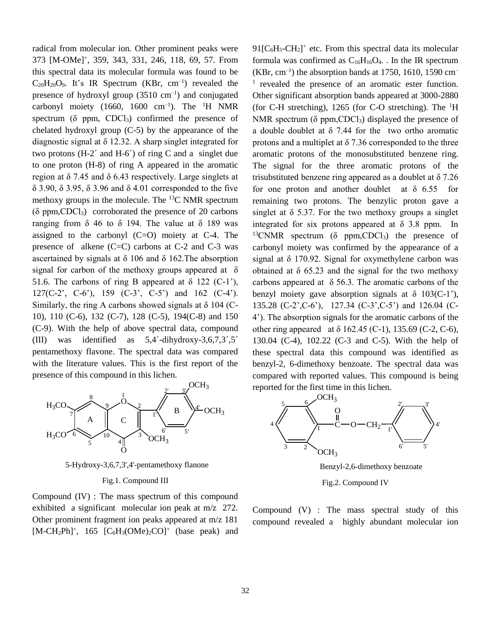radical from molecular ion. Other prominent peaks were 373 [M-OMe]<sup>+</sup> , 359, 343, 331, 246, 118, 69, 57. From this spectral data its molecular formula was found to be  $C_{20}H_{20}O_9$ . It's IR Spectrum (KBr, cm<sup>-1</sup>) revealed the presence of hydroxyl group  $(3510 \text{ cm}^{-1})$  and conjugated carbonyl moiety (1660, 1600  $cm^{-1}$ ). The <sup>1</sup>H NMR spectrum ( $\delta$  ppm, CDCl<sub>3</sub>) confirmed the presence of chelated hydroxyl group (C-5) by the appearance of the diagnostic signal at δ 12.32. A sharp singlet integrated for two protons (H-2´ and H-6´) of ring C and a singlet due to one proton (H-8) of ring A appeared in the aromatic region at δ 7.45 and δ 6.43 respectively. Large singlets at δ 3.90, δ 3.95, δ 3.96 and δ 4.01 corresponded to the five methoxy groups in the molecule. The  $^{13}$ C NMR spectrum  $(\delta$  ppm, CDCl<sub>3</sub>) corroborated the presence of 20 carbons ranging from δ 46 to δ 194. The value at δ 189 was assigned to the carbonyl  $(C=O)$  moiety at C-4. The presence of alkene (C=C) carbons at C-2 and C-3 was ascertained by signals at  $\delta$  106 and  $\delta$  162. The absorption signal for carbon of the methoxy groups appeared at  $\delta$ 51.6. The carbons of ring B appeared at  $\delta$  122 (C-1'), 127(C-2', C-6'), 159 (C-3', C-5') and 162 (C-4'). Similarly, the ring A carbons showed signals at  $\delta$  104 (C-10), 110 (C-6), 132 (C-7), 128 (C-5), 194(C-8) and 150 (C-9). With the help of above spectral data, compound (III) was identified as 5,4´-dihydroxy-3,6,7,3´,5´ pentamethoxy flavone. The spectral data was compared with the literature values. This is the first report of the presence of this compound in this lichen.



5-Hydroxy-3,6,7,3',4'-pentamethoxy flanone

#### Fig.1. Compound III

Compound (IV) : The mass spectrum of this compound exhibited a significant molecular ion peak at m/z 272. Other prominent fragment ion peaks appeared at m/z 181  $[M-CH<sub>2</sub>Ph]<sup>+</sup>$ , 165  $[C<sub>6</sub>H<sub>3</sub>(OMe)<sub>2</sub>CO]<sup>+</sup>$  (base peak) and

 $91[C_6H_5-CH_2]^+$  etc. From this spectral data its molecular formula was confirmed as  $C_{16}H_{16}O_4$ . In the IR spectrum  $(KBr, cm^{-1})$  the absorption bands at 1750, 1610, 1590 cm<sup>-</sup> <sup>1</sup> revealed the presence of an aromatic ester function. Other significant absorption bands appeared at 3000-2880 (for C-H stretching), 1265 (for C-O stretching). The  ${}^{1}$ H NMR spectrum ( $\delta$  ppm,CDCl<sub>3</sub>) displayed the presence of a double doublet at  $\delta$  7.44 for the two ortho aromatic protons and a multiplet at  $\delta$  7.36 corresponded to the three aromatic protons of the monosubstituted benzene ring. The signal for the three aromatic protons of the trisubstituted benzene ring appeared as a doublet at δ 7.26 for one proton and another doublet at  $\delta$  6.55 for remaining two protons. The benzylic proton gave a singlet at  $\delta$  5.37. For the two methoxy groups a singlet integrated for six protons appeared at  $\delta$  3.8 ppm. In <sup>13</sup>CNMR spectrum ( $\delta$  ppm,CDCl<sub>3</sub>) the presence of carbonyl moiety was confirmed by the appearance of a signal at  $\delta$  170.92. Signal for oxymethylene carbon was obtained at  $\delta$  65.23 and the signal for the two methoxy carbons appeared at  $\delta$  56.3. The aromatic carbons of the benzyl moiety gave absorption signals at  $\delta$  103(C-1'), 135.28 (C-2',C-6'), 127.34 (C-3',C-5') and 126.04 (C-4'). The absorption signals for the aromatic carbons of the other ring appeared at  $\delta$  162.45 (C-1), 135.69 (C-2, C-6), 130.04 (C-4), 102.22 (C-3 and C-5). With the help of these spectral data this compound was identified as benzyl-2, 6-dimethoxy benzoate. The spectral data was compared with reported values. This compound is being reported for the first time in this lichen.



Benzyl-2,6-dimethoxy benzoate

Fig.2. Compound IV

Compound (V) : The mass spectral study of this compound revealed a highly abundant molecular ion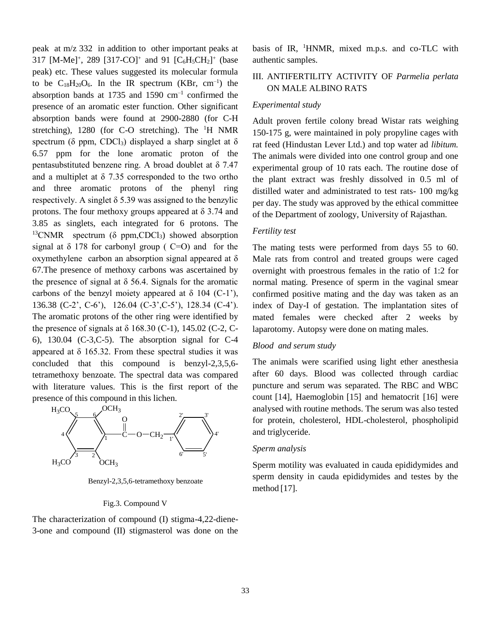peak at m/z 332 in addition to other important peaks at 317 [M-Me]<sup>+</sup>, 289 [317-CO]<sup>+</sup> and 91 [C<sub>6</sub>H<sub>5</sub>CH<sub>2</sub>]<sup>+</sup> (base peak) etc. These values suggested its molecular formula to be  $C_{18}H_{20}O_6$ . In the IR spectrum (KBr, cm<sup>-1</sup>) the absorption bands at 1735 and 1590  $\text{cm}^{-1}$  confirmed the presence of an aromatic ester function. Other significant absorption bands were found at 2900-2880 (for C-H stretching),  $1280$  (for C-O stretching). The  $H$  NMR spectrum ( $\delta$  ppm, CDCl<sub>3</sub>) displayed a sharp singlet at  $\delta$ 6.57 ppm for the lone aromatic proton of the pentasubstituted benzene ring. A broad doublet at δ 7.47 and a multiplet at  $\delta$  7.35 corresponded to the two ortho and three aromatic protons of the phenyl ring respectively. A singlet  $\delta$  5.39 was assigned to the benzylic protons. The four methoxy groups appeared at  $\delta$  3.74 and 3.85 as singlets, each integrated for 6 protons. The <sup>13</sup>CNMR spectrum ( $\delta$  ppm,CDCl<sub>3</sub>) showed absorption signal at  $\delta$  178 for carbonyl group ( C=O) and for the oxymethylene carbon an absorption signal appeared at δ 67.The presence of methoxy carbons was ascertained by the presence of signal at  $\delta$  56.4. Signals for the aromatic carbons of the benzyl moiety appeared at  $\delta$  104 (C-1'), 136.38 (C-2', C-6'), 126.04 (C-3',C-5'), 128.34 (C-4'). The aromatic protons of the other ring were identified by the presence of signals at  $\delta$  168.30 (C-1), 145.02 (C-2, C-6), 130.04 (C-3,C-5). The absorption signal for C-4 appeared at  $\delta$  165.32. From these spectral studies it was concluded that this compound is benzyl-2,3,5,6 tetramethoxy benzoate. The spectral data was compared with literature values. This is the first report of the presence of this compound in this lichen.



Benzyl-2,3,5,6-tetramethoxy benzoate

#### Fig.3. Compound V

The characterization of compound (I) stigma-4,22-diene-3-one and compound (II) stigmasterol was done on the basis of IR, <sup>1</sup>HNMR, mixed m.p.s. and co-TLC with authentic samples.

# III. ANTIFERTILITY ACTIVITY OF *Parmelia perlata*  ON MALE ALBINO RATS

#### *Experimental study*

Adult proven fertile colony bread Wistar rats weighing 150-175 g, were maintained in poly propyline cages with rat feed (Hindustan Lever Ltd.) and top water ad *libitum.* The animals were divided into one control group and one experimental group of 10 rats each. The routine dose of the plant extract was freshly dissolved in 0.5 ml of distilled water and administrated to test rats- 100 mg/kg per day. The study was approved by the ethical committee of the Department of zoology, University of Rajasthan.

#### *Fertility test*

The mating tests were performed from days 55 to 60. Male rats from control and treated groups were caged overnight with proestrous females in the ratio of 1:2 for normal mating. Presence of sperm in the vaginal smear confirmed positive mating and the day was taken as an index of Day-I of gestation. The implantation sites of mated females were checked after 2 weeks by laparotomy. Autopsy were done on mating males.

#### *Blood and serum study*

The animals were scarified using light ether anesthesia after 60 days. Blood was collected through cardiac puncture and serum was separated. The RBC and WBC count [14], Haemoglobin [15] and hematocrit [16] were analysed with routine methods. The serum was also tested for protein, cholesterol, HDL-cholesterol, phospholipid and triglyceride.

#### *Sperm analysis*

Sperm motility was evaluated in cauda epididymides and sperm density in cauda epididymides and testes by the method [17].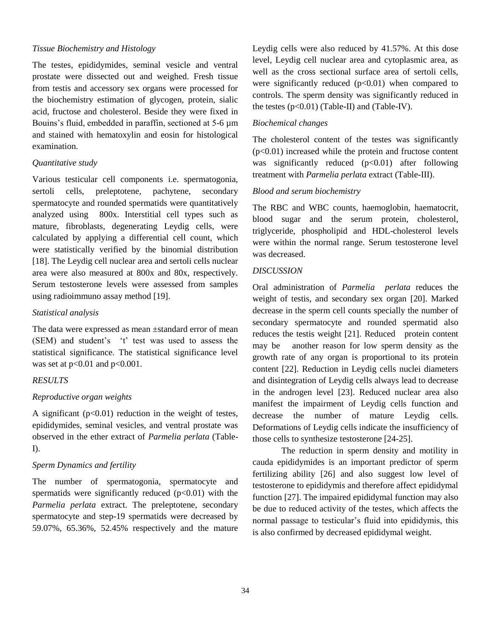## *Tissue Biochemistry and Histology*

The testes, epididymides, seminal vesicle and ventral prostate were dissected out and weighed. Fresh tissue from testis and accessory sex organs were processed for the biochemistry estimation of glycogen, protein, sialic acid, fructose and cholesterol. Beside they were fixed in Bouins's fluid, embedded in paraffin, sectioned at 5-6 µm and stained with hematoxylin and eosin for histological examination.

# *Quantitative study*

Various testicular cell components i.e. spermatogonia, sertoli cells, preleptotene, pachytene, secondary spermatocyte and rounded spermatids were quantitatively analyzed using 800x. Interstitial cell types such as mature, fibroblasts, degenerating Leydig cells, were calculated by applying a differential cell count, which were statistically verified by the binomial distribution [18]. The Leydig cell nuclear area and sertoli cells nuclear area were also measured at 800x and 80x, respectively. Serum testosterone levels were assessed from samples using radioimmuno assay method [19].

#### *Statistical analysis*

The data were expressed as mean ±standard error of mean (SEM) and student's 't' test was used to assess the statistical significance. The statistical significance level was set at  $p<0.01$  and  $p<0.001$ .

#### *RESULTS*

# *Reproductive organ weights*

A significant  $(p<0.01)$  reduction in the weight of testes, epididymides, seminal vesicles, and ventral prostate was observed in the ether extract of *Parmelia perlata* (Table-I).

# *Sperm Dynamics and fertility*

The number of spermatogonia, spermatocyte and spermatids were significantly reduced  $(p<0.01)$  with the *Parmelia perlata* extract. The preleptotene, secondary spermatocyte and step-19 spermatids were decreased by 59.07%, 65.36%, 52.45% respectively and the mature

Leydig cells were also reduced by 41.57%. At this dose level, Leydig cell nuclear area and cytoplasmic area, as well as the cross sectional surface area of sertoli cells, were significantly reduced  $(p<0.01)$  when compared to controls. The sperm density was significantly reduced in the testes  $(p<0.01)$  (Table-II) and (Table-IV).

## *Biochemical changes*

The cholesterol content of the testes was significantly  $(p<0.01)$  increased while the protein and fructose content was significantly reduced  $(p<0.01)$  after following treatment with *Parmelia perlata* extract (Table-III).

#### *Blood and serum biochemistry*

The RBC and WBC counts, haemoglobin, haematocrit, blood sugar and the serum protein, cholesterol, triglyceride, phospholipid and HDL-cholesterol levels were within the normal range. Serum testosterone level was decreased.

#### *DISCUSSION*

Oral administration of *Parmelia perlata* reduces the weight of testis, and secondary sex organ [20]. Marked decrease in the sperm cell counts specially the number of secondary spermatocyte and rounded spermatid also reduces the testis weight [21]. Reduced protein content may be another reason for low sperm density as the growth rate of any organ is proportional to its protein content [22]. Reduction in Leydig cells nuclei diameters and disintegration of Leydig cells always lead to decrease in the androgen level [23]. Reduced nuclear area also manifest the impairment of Leydig cells function and decrease the number of mature Leydig cells. Deformations of Leydig cells indicate the insufficiency of those cells to synthesize testosterone [24-25].

The reduction in sperm density and motility in cauda epididymides is an important predictor of sperm fertilizing ability [26] and also suggest low level of testosterone to epididymis and therefore affect epididymal function [27]. The impaired epididymal function may also be due to reduced activity of the testes, which affects the normal passage to testicular's fluid into epididymis, this is also confirmed by decreased epididymal weight.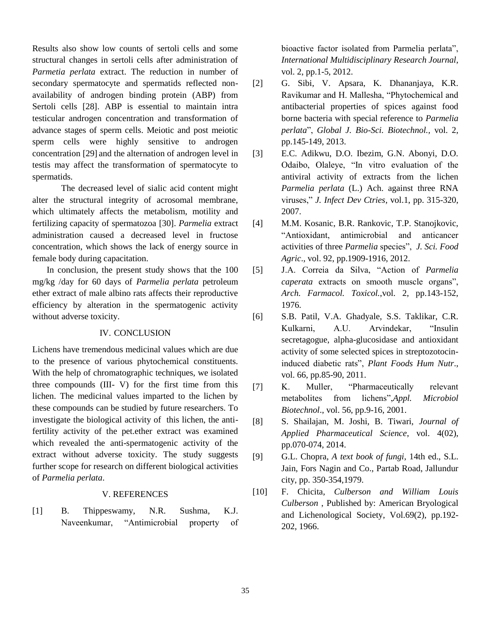Results also show low counts of sertoli cells and some structural changes in sertoli cells after administration of *Parmetia perlata* extract. The reduction in number of secondary spermatocyte and spermatids reflected nonavailability of androgen binding protein (ABP) from Sertoli cells [28]. ABP is essential to maintain intra testicular androgen concentration and transformation of advance stages of sperm cells. Meiotic and post meiotic sperm cells were highly sensitive to androgen concentration [29] and the alternation of androgen level in testis may affect the transformation of spermatocyte to spermatids.

The decreased level of sialic acid content might alter the structural integrity of acrosomal membrane, which ultimately affects the metabolism, motility and fertilizing capacity of spermatozoa [30]. *Parmelia* extract administration caused a decreased level in fructose concentration, which shows the lack of energy source in female body during capacitation.

In conclusion, the present study shows that the 100 mg/kg /day for 60 days of *Parmelia perlata* petroleum ether extract of male albino rats affects their reproductive efficiency by alteration in the spermatogenic activity without adverse toxicity.

# IV. CONCLUSION

Lichens have tremendous medicinal values which are due to the presence of various phytochemical constituents. With the help of chromatographic techniques, we isolated three compounds (III- V) for the first time from this lichen. The medicinal values imparted to the lichen by these compounds can be studied by future researchers. To investigate the biological activity of this lichen, the antifertility activity of the pet.ether extract was examined which revealed the anti-spermatogenic activity of the extract without adverse toxicity. The study suggests further scope for research on different biological activities of *Parmelia perlata*.

# V. REFERENCES

[1] B. Thippeswamy, N.R. Sushma, K.J. Naveenkumar, "Antimicrobial property of bioactive factor isolated from Parmelia perlata", *International Multidisciplinary Research Journal*, vol. 2, pp.1-5, 2012.

- [2] G. Sibi, V. Apsara, K. Dhananjaya, K.R. Ravikumar and H. Mallesha, "Phytochemical and antibacterial properties of spices against food borne bacteria with special reference to *Parmelia perlata*", *Global J. Bio-Sci. Biotechnol.,* vol. 2, pp.145-149, 2013.
- [3] E.C. Adikwu, D.O. Ibezim, G.N. Abonyi, D.O. Odaibo, Olaleye, "In vitro evaluation of the antiviral activity of extracts from the lichen *Parmelia perlata* (L.) Ach. against three RNA viruses," *J. Infect Dev Ctries*, vol.1, pp. 315-320, 2007.
- [4] M.M. Kosanic, B.R. Rankovic, T.P. Stanojkovic, "Antioxidant, antimicrobial and anticancer activities of three *Parmelia* species", *J. Sci. Food Agric*., vol. 92, pp.1909-1916, 2012.
- [5] J.A. Correia da Silva, "Action of *Parmelia caperata* extracts on smooth muscle organs", *Arch. Farmacol. Toxicol.*,vol. 2, pp.143-152, 1976.
- [6] S.B. Patil, V.A. Ghadyale, S.S. Taklikar, C.R. Kulkarni, A.U. Arvindekar, "Insulin secretagogue, alpha-glucosidase and antioxidant activity of some selected spices in streptozotocininduced diabetic rats", *Plant Foods Hum Nutr*., vol. 66, pp.85-90, 2011.
- [7] K. Muller, "Pharmaceutically relevant metabolites from lichens",*Appl. Microbiol Biotechnol*., vol. 56, pp.9-16, 2001.
- [8] S. Shailajan, M. Joshi, B. Tiwari, *Journal of Applied Pharmaceutical Science*, vol. 4(02), pp.070-074, 2014.
- [9] G.L. Chopra, *A text book of fungi*, 14th ed., S.L. Jain, Fors Nagin and Co., Partab Road, Jallundur city, pp. 350-354,1979.
- [10] F. Chicita, *Culberson and William Louis Culberson* , Published by: [American Bryological](https://www.jstor.org/action/showPublisher?publisherCode=abls)  [and Lichenological Society,](https://www.jstor.org/action/showPublisher?publisherCode=abls) Vol.69(2), pp.192- 202, 1966.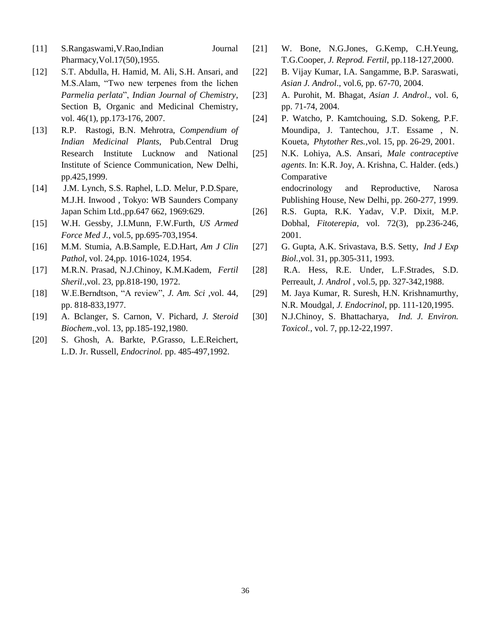- [11] S.Rangaswami,V.Rao,Indian Journal Pharmacy,Vol.17(50),1955.
- [12] S.T. Abdulla, H. Hamid, M. Ali, S.H. Ansari, and M.S.Alam, "Two new terpenes from the lichen *Parmelia perlata*", *Indian Journal of Chemistry*, Section B, Organic and Medicinal Chemistry, vol. 46(1), pp.173-176, 2007.
- [13] R.P. Rastogi, B.N. Mehrotra, *Compendium of Indian Medicinal Plants*, Pub.Central Drug Research Institute Lucknow and National Institute of Science Communication, New Delhi, pp.425,1999.
- [14] J.M. Lynch, S.S. Raphel, L.D. Melur, P.D.Spare, M.J.H. Inwood , Tokyo: WB Saunders Company Japan Schim Ltd.,pp.647 662, 1969:629.
- [15] W.H. Gessby, J.I.Munn, F.W.Furth, *US Armed Force Med J.*, vol.5, pp.695-703,1954.
- [16] M.M. Stumia, A.B.Sample, E.D.Hart, *Am J Clin Pathol*, vol. 24,pp. 1016-1024, 1954.
- [17] M.R.N. Prasad, N.J.Chinoy, K.M.Kadem, *Fertil Sheril*.,vol. 23, pp.818-190, 1972.
- [18] W.E.Berndtson, "A review", *J. Am. Sci* ,vol. 44, pp. 818-833,1977.
- [19] A. Bclanger, S. Carnon, V. Pichard, *J. Steroid Biochem*.,vol. 13, pp.185-192,1980.
- [20] S. Ghosh, A. Barkte, P.Grasso, L.E.Reichert, L.D. Jr. Russell, *Endocrinol.* pp. 485-497,1992.
- [21] W. Bone, N.G.Jones, G.Kemp, C.H.Yeung, T.G.Cooper, *J. Reprod. Fertil*, pp.118-127,2000.
- [22] B. Vijay Kumar, I.A. Sangamme, B.P. Saraswati, *Asian J. Androl*., vol.6, pp. 67-70, 2004.
- [23] A. Purohit, M. Bhagat, *Asian J. Androl*., vol. 6, pp. 71-74, 2004.
- [24] P. Watcho, P. Kamtchouing, S.D. Sokeng, P.F. Moundipa, J. Tantechou, J.T. Essame , N. Koueta, *Phytother Res.*,vol. 15, pp. 26-29, 2001.
- [25] N.K. Lohiya, A.S. Ansari, *Male contraceptive agents*. In: K.R. Joy, A. Krishna, C. Halder. (eds.) Comparative endocrinology and Reproductive, Narosa

Publishing House, New Delhi, pp. 260-277, 1999. [26] R.S. Gupta, R.K. Yadav, V.P. Dixit, M.P.

- Dobhal, *Fitoterepia*, vol. 72(3), pp.236-246, 2001.
- [27] G. Gupta, A.K. Srivastava, B.S. Setty, *Ind J Exp Biol.*,vol. 31, pp.305-311, 1993.
- [28] R.A. Hess, R.E. Under, L.F.Strades, S.D. Perreault, *J. Androl* , vol.5, pp. 327-342,1988.
- [29] M. Jaya Kumar, R. Suresh, H.N. Krishnamurthy, N.R. Moudgal, *J. Endocrinol*, pp. 111-120,1995.
- [30] N.J.Chinoy, S. Bhattacharya, *Ind. J. Environ. Toxicol.*, vol. 7, pp.12-22,1997.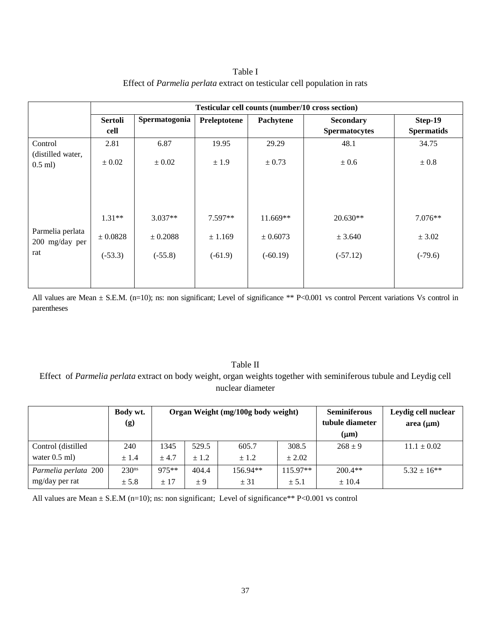Table I Effect of *Parmelia perlata* extract on testicular cell population in rats

| <b>Testicular cell counts (number/10 cross section)</b> |                                    |                                   |                                      |                                     |                                  |  |  |  |
|---------------------------------------------------------|------------------------------------|-----------------------------------|--------------------------------------|-------------------------------------|----------------------------------|--|--|--|
| <b>Sertoli</b><br>cell                                  | Spermatogonia                      | Preleptotene                      | Pachytene                            | Secondary<br><b>Spermatocytes</b>   | Step-19<br><b>Spermatids</b>     |  |  |  |
| 2.81                                                    | 6.87                               | 19.95                             | 29.29                                | 48.1                                | 34.75                            |  |  |  |
| $\pm 0.02$                                              | $\pm 0.02$                         | ± 1.9                             | ± 0.73                               | ± 0.6                               | $\pm 0.8$                        |  |  |  |
| $1.31**$<br>$\pm 0.0828$<br>$(-53.3)$                   | $3.037**$<br>± 0.2088<br>$(-55.8)$ | $7.597**$<br>± 1.169<br>$(-61.9)$ | $11.669**$<br>± 0.6073<br>$(-60.19)$ | $20.630**$<br>± 3.640<br>$(-57.12)$ | $7.076**$<br>± 3.02<br>$(-79.6)$ |  |  |  |
|                                                         |                                    |                                   |                                      |                                     |                                  |  |  |  |

All values are Mean  $\pm$  S.E.M. (n=10); ns: non significant; Level of significance \*\* P<0.001 vs control Percent variations Vs control in parentheses

# Table II

Effect of *Parmelia perlata* extract on body weight, organ weights together with seminiferous tubule and Leydig cell nuclear diameter

|                      | Body wt.<br>(g)   |       |         | Organ Weight (mg/100g body weight) | <b>Seminiferous</b><br>tubule diameter<br>$(\mu m)$ | Leydig cell nuclear<br>area $(\mu m)$ |                 |
|----------------------|-------------------|-------|---------|------------------------------------|-----------------------------------------------------|---------------------------------------|-----------------|
| Control (distilled   | 240               | 1345  | 529.5   | 605.7                              | 308.5                                               | $268 \pm 9$                           | $11.1 \pm 0.02$ |
| water $0.5$ ml)      | ± 1.4             | ± 4.7 | ± 1.2   | ± 1.2                              | $\pm 2.02$                                          |                                       |                 |
| Parmelia perlata 200 | $230^{\text{ns}}$ | 975** | 404.4   | 156.94**                           | $115.97**$                                          | $200.4**$                             | $5.32 \pm 16**$ |
| mg/day per rat       | ± 5.8             | ± 17  | $\pm 9$ | ± 31                               | ± 5.1                                               | $\pm$ 10.4                            |                 |

All values are Mean  $\pm$  S.E.M (n=10); ns: non significant; Level of significance\*\* P<0.001 vs control